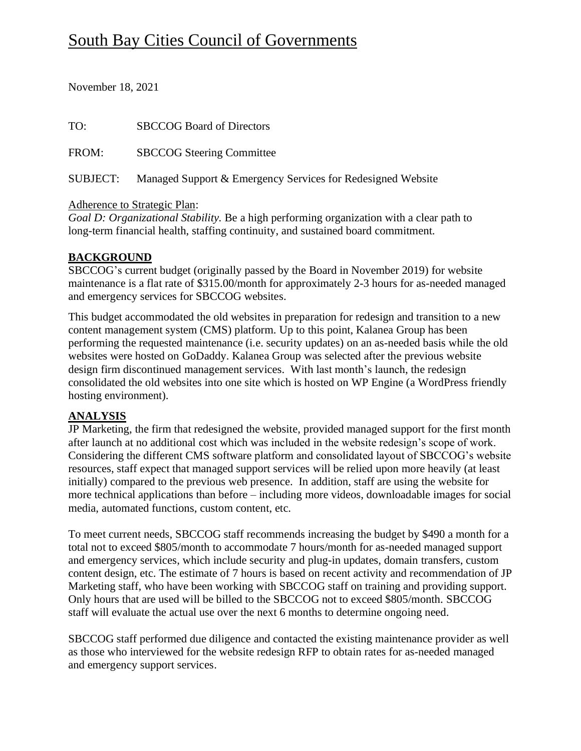# South Bay Cities Council of Governments

November 18, 2021

| TO:      | <b>SBCCOG Board of Directors</b>                            |
|----------|-------------------------------------------------------------|
| FROM:    | <b>SBCCOG Steering Committee</b>                            |
| SUBJECT: | Managed Support & Emergency Services for Redesigned Website |

#### Adherence to Strategic Plan:

*Goal D: Organizational Stability.* Be a high performing organization with a clear path to long-term financial health, staffing continuity, and sustained board commitment.

### **BACKGROUND**

SBCCOG's current budget (originally passed by the Board in November 2019) for website maintenance is a flat rate of \$315.00/month for approximately 2-3 hours for as-needed managed and emergency services for SBCCOG websites.

This budget accommodated the old websites in preparation for redesign and transition to a new content management system (CMS) platform. Up to this point, Kalanea Group has been performing the requested maintenance (i.e. security updates) on an as-needed basis while the old websites were hosted on GoDaddy. Kalanea Group was selected after the previous website design firm discontinued management services. With last month's launch, the redesign consolidated the old websites into one site which is hosted on WP Engine (a WordPress friendly hosting environment).

## **ANALYSIS**

JP Marketing, the firm that redesigned the website, provided managed support for the first month after launch at no additional cost which was included in the website redesign's scope of work. Considering the different CMS software platform and consolidated layout of SBCCOG's website resources, staff expect that managed support services will be relied upon more heavily (at least initially) compared to the previous web presence. In addition, staff are using the website for more technical applications than before – including more videos, downloadable images for social media, automated functions, custom content, etc.

To meet current needs, SBCCOG staff recommends increasing the budget by \$490 a month for a total not to exceed \$805/month to accommodate 7 hours/month for as-needed managed support and emergency services, which include security and plug-in updates, domain transfers, custom content design, etc. The estimate of 7 hours is based on recent activity and recommendation of JP Marketing staff, who have been working with SBCCOG staff on training and providing support. Only hours that are used will be billed to the SBCCOG not to exceed \$805/month. SBCCOG staff will evaluate the actual use over the next 6 months to determine ongoing need.

SBCCOG staff performed due diligence and contacted the existing maintenance provider as well as those who interviewed for the website redesign RFP to obtain rates for as-needed managed and emergency support services.